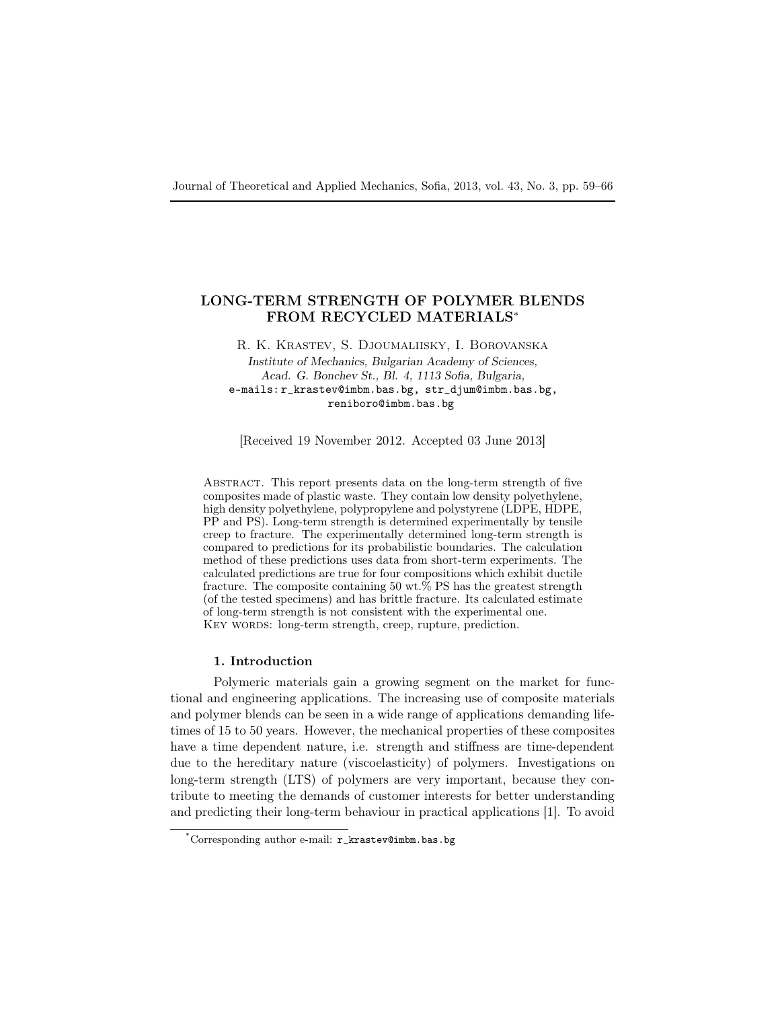# LONG-TERM STRENGTH OF POLYMER BLENDS FROM RECYCLED MATERIALS<sup>∗</sup>

R. K. Krastev, S. Djoumaliisky, I. Borovanska

Institute of Mechanics, Bulgarian Academy of Sciences, Acad. G. Bonchev St., Bl. 4, 1113 Sofia, Bulgaria, e-mails: r\_krastev@imbm.bas.bg, str\_djum@imbm.bas.bg, reniboro@imbm.bas.bg

[Received 19 November 2012. Accepted 03 June 2013]

Abstract. This report presents data on the long-term strength of five composites made of plastic waste. They contain low density polyethylene, high density polyethylene, polypropylene and polystyrene (LDPE, HDPE, PP and PS). Long-term strength is determined experimentally by tensile creep to fracture. The experimentally determined long-term strength is compared to predictions for its probabilistic boundaries. The calculation method of these predictions uses data from short-term experiments. The calculated predictions are true for four compositions which exhibit ductile fracture. The composite containing 50 wt.% PS has the greatest strength (of the tested specimens) and has brittle fracture. Its calculated estimate of long-term strength is not consistent with the experimental one. KEY WORDS: long-term strength, creep, rupture, prediction.

## 1. Introduction

Polymeric materials gain a growing segment on the market for functional and engineering applications. The increasing use of composite materials and polymer blends can be seen in a wide range of applications demanding lifetimes of 15 to 50 years. However, the mechanical properties of these composites have a time dependent nature, i.e. strength and stiffness are time-dependent due to the hereditary nature (viscoelasticity) of polymers. Investigations on long-term strength (LTS) of polymers are very important, because they contribute to meeting the demands of customer interests for better understanding and predicting their long-term behaviour in practical applications [1]. To avoid

<sup>\*</sup>Corresponding author e-mail: r\_krastev@imbm.bas.bg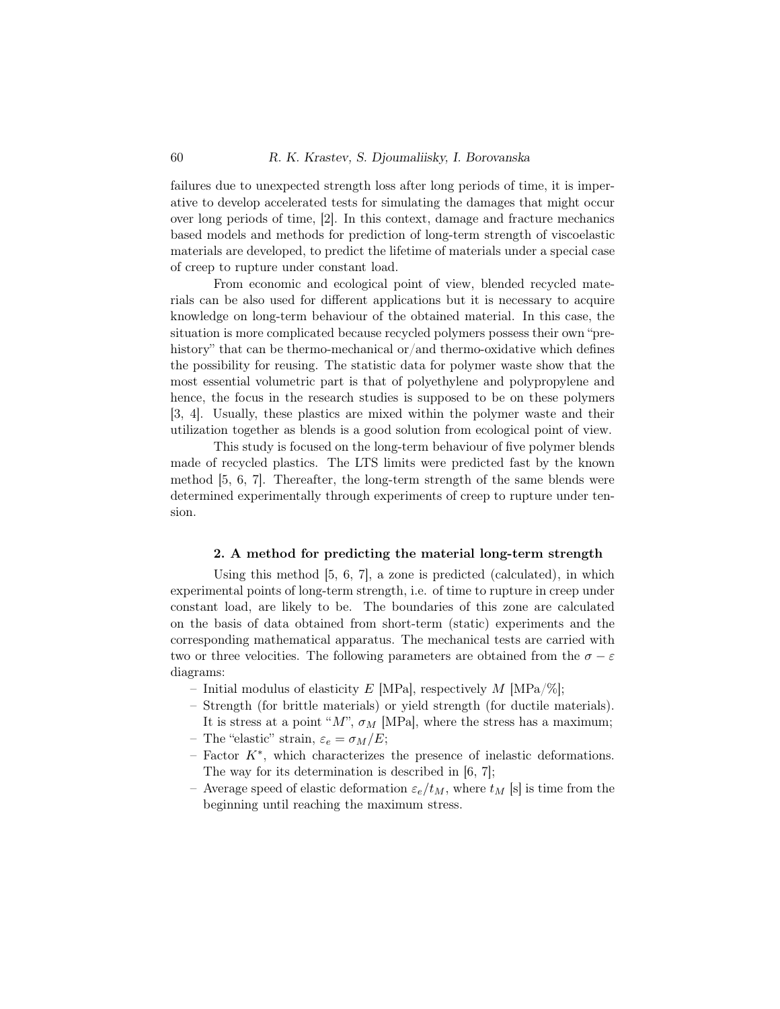failures due to unexpected strength loss after long periods of time, it is imperative to develop accelerated tests for simulating the damages that might occur over long periods of time, [2]. In this context, damage and fracture mechanics based models and methods for prediction of long-term strength of viscoelastic materials are developed, to predict the lifetime of materials under a special case of creep to rupture under constant load.

From economic and ecological point of view, blended recycled materials can be also used for different applications but it is necessary to acquire knowledge on long-term behaviour of the obtained material. In this case, the situation is more complicated because recycled polymers possess their own "prehistory" that can be thermo-mechanical or/and thermo-oxidative which defines the possibility for reusing. The statistic data for polymer waste show that the most essential volumetric part is that of polyethylene and polypropylene and hence, the focus in the research studies is supposed to be on these polymers [3, 4]. Usually, these plastics are mixed within the polymer waste and their utilization together as blends is a good solution from ecological point of view.

This study is focused on the long-term behaviour of five polymer blends made of recycled plastics. The LTS limits were predicted fast by the known method [5, 6, 7]. Thereafter, the long-term strength of the same blends were determined experimentally through experiments of creep to rupture under tension.

## 2. A method for predicting the material long-term strength

Using this method [5, 6, 7], a zone is predicted (calculated), in which experimental points of long-term strength, i.e. of time to rupture in creep under constant load, are likely to be. The boundaries of this zone are calculated on the basis of data obtained from short-term (static) experiments and the corresponding mathematical apparatus. The mechanical tests are carried with two or three velocities. The following parameters are obtained from the  $\sigma - \varepsilon$ diagrams:

- Initial modulus of elasticity E [MPa], respectively M [MPa/%];
- Strength (for brittle materials) or yield strength (for ductile materials). It is stress at a point " $M$ ",  $\sigma_M$  [MPa], where the stress has a maximum;
- The "elastic" strain,  $\varepsilon_e = \sigma_M/E$ ;
- $-$  Factor  $K^*$ , which characterizes the presence of inelastic deformations. The way for its determination is described in [6, 7];
- Average speed of elastic deformation  $\varepsilon_e/t_M$ , where  $t_M$  [s] is time from the beginning until reaching the maximum stress.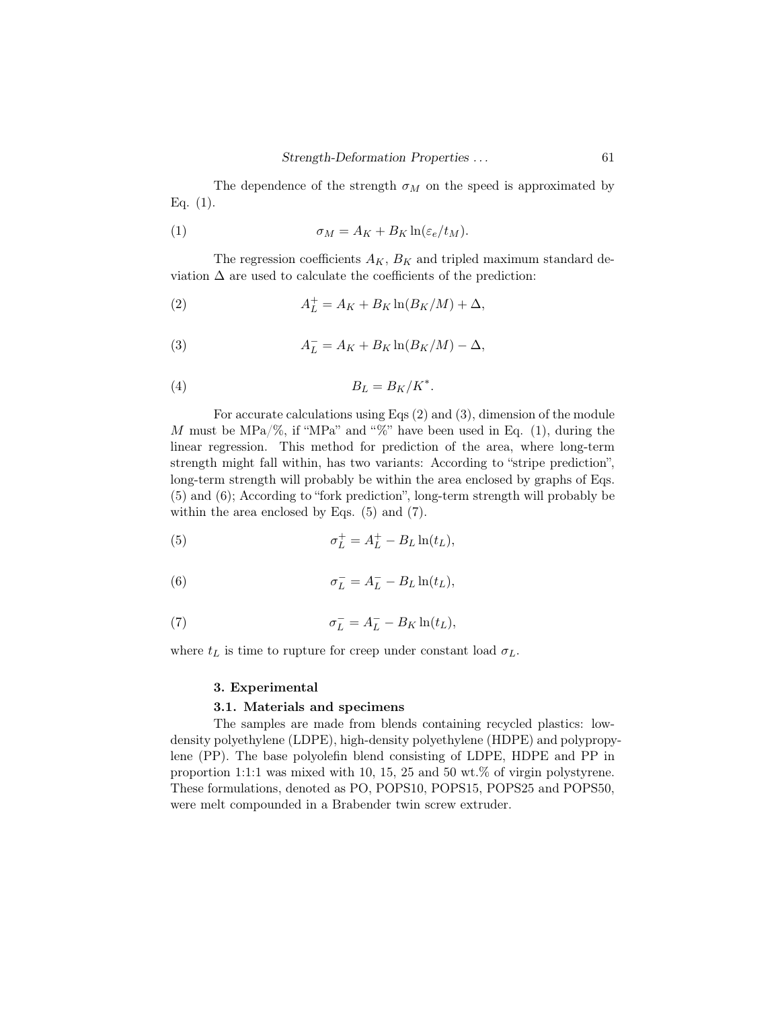The dependence of the strength  $\sigma_M$  on the speed is approximated by Eq.  $(1)$ .

(1) 
$$
\sigma_M = A_K + B_K \ln(\varepsilon_e / t_M).
$$

The regression coefficients  $A_K$ ,  $B_K$  and tripled maximum standard deviation  $\Delta$  are used to calculate the coefficients of the prediction:

$$
(2) \t\t AL+ = AK + BK ln(BK/M) + \Delta,
$$

(3) 
$$
A_L^- = A_K + B_K \ln(B_K/M) - \Delta,
$$

$$
(4) \t\t\t B_L = B_K/K^*.
$$

For accurate calculations using Eqs (2) and (3), dimension of the module M must be MPa/%, if "MPa" and "%" have been used in Eq. (1), during the linear regression. This method for prediction of the area, where long-term strength might fall within, has two variants: According to "stripe prediction", long-term strength will probably be within the area enclosed by graphs of Eqs. (5) and (6); According to "fork prediction", long-term strength will probably be within the area enclosed by Eqs. (5) and (7).

(5) 
$$
\sigma_L^+ = A_L^+ - B_L \ln(t_L),
$$

(6) 
$$
\sigma_L^- = A_L^- - B_L \ln(t_L),
$$

(7) 
$$
\sigma_L^- = A_L^- - B_K \ln(t_L),
$$

where  $t_L$  is time to rupture for creep under constant load  $\sigma_L$ .

## 3. Experimental

## 3.1. Materials and specimens

The samples are made from blends containing recycled plastics: lowdensity polyethylene (LDPE), high-density polyethylene (HDPE) and polypropylene (PP). The base polyolefin blend consisting of LDPE, HDPE and PP in proportion 1:1:1 was mixed with 10, 15, 25 and 50 wt.% of virgin polystyrene. These formulations, denoted as PO, POPS10, POPS15, POPS25 and POPS50, were melt compounded in a Brabender twin screw extruder.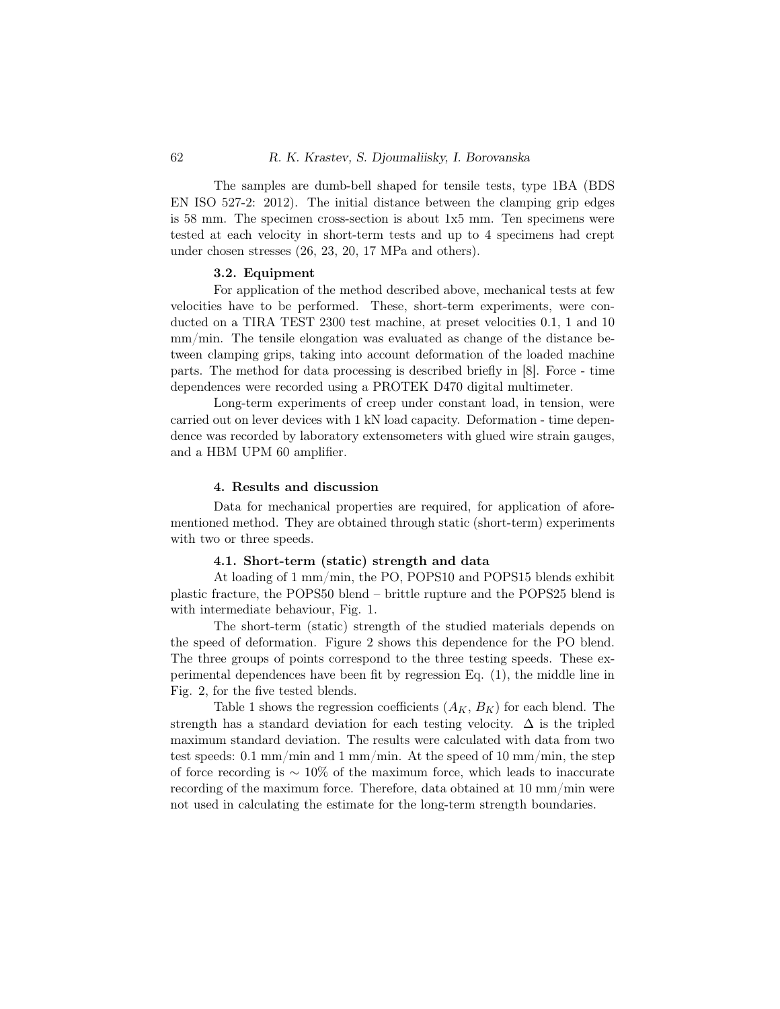The samples are dumb-bell shaped for tensile tests, type 1BA (BDS EN ISO 527-2: 2012). The initial distance between the clamping grip edges is 58 mm. The specimen cross-section is about 1x5 mm. Ten specimens were tested at each velocity in short-term tests and up to 4 specimens had crept under chosen stresses (26, 23, 20, 17 MPa and others).

## 3.2. Equipment

For application of the method described above, mechanical tests at few velocities have to be performed. These, short-term experiments, were conducted on a TIRA TEST 2300 test machine, at preset velocities 0.1, 1 and 10 mm/min. The tensile elongation was evaluated as change of the distance between clamping grips, taking into account deformation of the loaded machine parts. The method for data processing is described briefly in [8]. Force - time dependences were recorded using a PROTEK D470 digital multimeter.

Long-term experiments of creep under constant load, in tension, were carried out on lever devices with 1 kN load capacity. Deformation - time dependence was recorded by laboratory extensometers with glued wire strain gauges, and a HBM UPM 60 amplifier.

#### 4. Results and discussion

Data for mechanical properties are required, for application of aforementioned method. They are obtained through static (short-term) experiments with two or three speeds.

### 4.1. Short-term (static) strength and data

At loading of 1 mm/min, the PO, POPS10 and POPS15 blends exhibit plastic fracture, the POPS50 blend – brittle rupture and the POPS25 blend is with intermediate behaviour, Fig. 1.

The short-term (static) strength of the studied materials depends on the speed of deformation. Figure 2 shows this dependence for the PO blend. The three groups of points correspond to the three testing speeds. These experimental dependences have been fit by regression Eq. (1), the middle line in Fig. 2, for the five tested blends.

Table 1 shows the regression coefficients  $(A_K, B_K)$  for each blend. The strength has a standard deviation for each testing velocity.  $\Delta$  is the tripled maximum standard deviation. The results were calculated with data from two test speeds: 0.1 mm/min and 1 mm/min. At the speed of 10 mm/min, the step of force recording is  $\sim 10\%$  of the maximum force, which leads to inaccurate recording of the maximum force. Therefore, data obtained at 10 mm/min were not used in calculating the estimate for the long-term strength boundaries.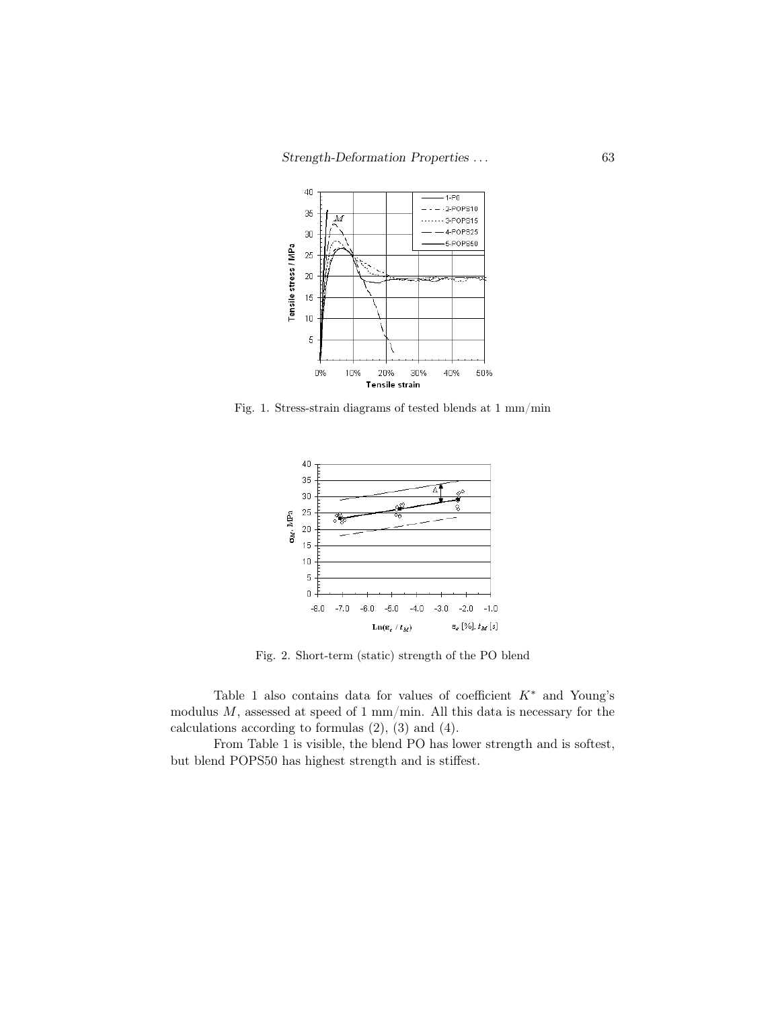

Fig. 1. Stress-strain diagrams of tested blends at 1 mm/min



Fig. 2. Short-term (static) strength of the PO blend

Table 1 also contains data for values of coefficient  $K^*$  and Young's modulus  $M$ , assessed at speed of 1 mm/min. All this data is necessary for the calculations according to formulas  $(2)$ ,  $(3)$  and  $(4)$ .

From Table 1 is visible, the blend PO has lower strength and is softest, but blend POPS50 has highest strength and is stiffest.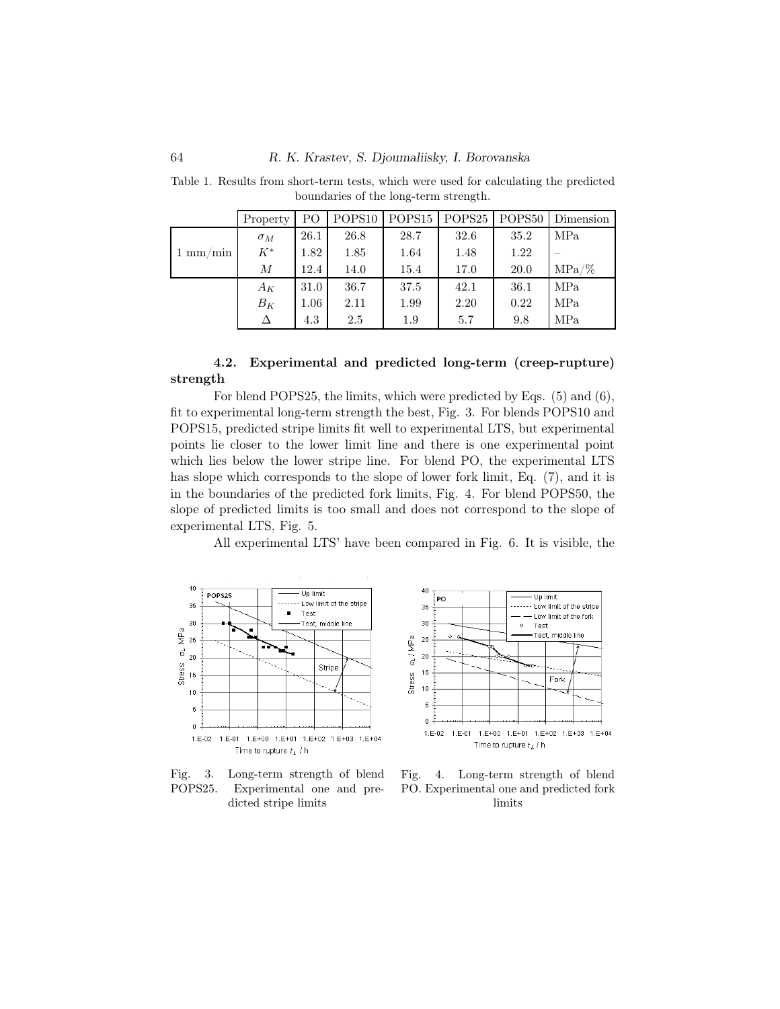|                    | Property   | PO.      | POPS <sub>10</sub> | POPS <sub>15</sub> | POPS25 POPS50 |             | Dimension |
|--------------------|------------|----------|--------------------|--------------------|---------------|-------------|-----------|
| $1 \text{ mm/min}$ | $\sigma_M$ | 26.1     | 26.8               | 28.7               | 32.6          | 35.2        | MPa       |
|                    | $K^*$      | 1.82     | 1.85               | 1.64               | 1.48          | 1.22        |           |
|                    | М          | 12.4     | 14.0               | 15.4               | 17.0          | <b>20.0</b> | $MPa/\%$  |
|                    | $A_K$      | 31.0     | 36.7               | 37.5               | 42.1          | 36.1        | MPa       |
|                    | $B_K$      | $1.06\,$ | 2.11               | 1.99               | 2.20          | 0.22        | MPa       |
|                    |            | 4.3      | 2.5                | 1.9                | 5.7           | 9.8         | MPa       |

Table 1. Results from short-term tests, which were used for calculating the predicted boundaries of the long-term strength.

## 4.2. Experimental and predicted long-term (creep-rupture) strength

For blend POPS25, the limits, which were predicted by Eqs. (5) and (6), fit to experimental long-term strength the best, Fig. 3. For blends POPS10 and POPS15, predicted stripe limits fit well to experimental LTS, but experimental points lie closer to the lower limit line and there is one experimental point which lies below the lower stripe line. For blend PO, the experimental LTS has slope which corresponds to the slope of lower fork limit, Eq. (7), and it is in the boundaries of the predicted fork limits, Fig. 4. For blend POPS50, the slope of predicted limits is too small and does not correspond to the slope of experimental LTS, Fig. 5.

All experimental LTS' have been compared in Fig. 6. It is visible, the





Fig. 3. Long-term strength of blend POPS25. Experimental one and predicted stripe limits

Fig. 4. Long-term strength of blend PO. Experimental one and predicted fork limits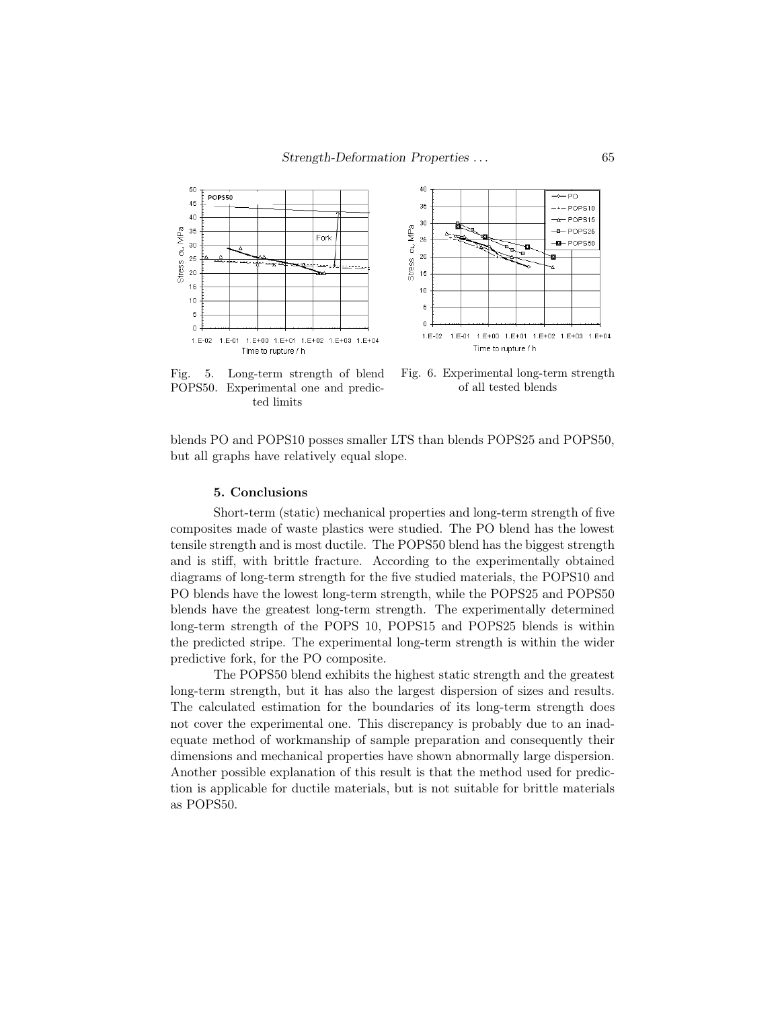



Fig. 5. Long-term strength of blend POPS50. Experimental one and predicted limits

Fig. 6. Experimental long-term strength of all tested blends

blends PO and POPS10 posses smaller LTS than blends POPS25 and POPS50, but all graphs have relatively equal slope.

### 5. Conclusions

Short-term (static) mechanical properties and long-term strength of five composites made of waste plastics were studied. The PO blend has the lowest tensile strength and is most ductile. The POPS50 blend has the biggest strength and is stiff, with brittle fracture. According to the experimentally obtained diagrams of long-term strength for the five studied materials, the POPS10 and PO blends have the lowest long-term strength, while the POPS25 and POPS50 blends have the greatest long-term strength. The experimentally determined long-term strength of the POPS 10, POPS15 and POPS25 blends is within the predicted stripe. The experimental long-term strength is within the wider predictive fork, for the PO composite.

The POPS50 blend exhibits the highest static strength and the greatest long-term strength, but it has also the largest dispersion of sizes and results. The calculated estimation for the boundaries of its long-term strength does not cover the experimental one. This discrepancy is probably due to an inadequate method of workmanship of sample preparation and consequently their dimensions and mechanical properties have shown abnormally large dispersion. Another possible explanation of this result is that the method used for prediction is applicable for ductile materials, but is not suitable for brittle materials as POPS50.